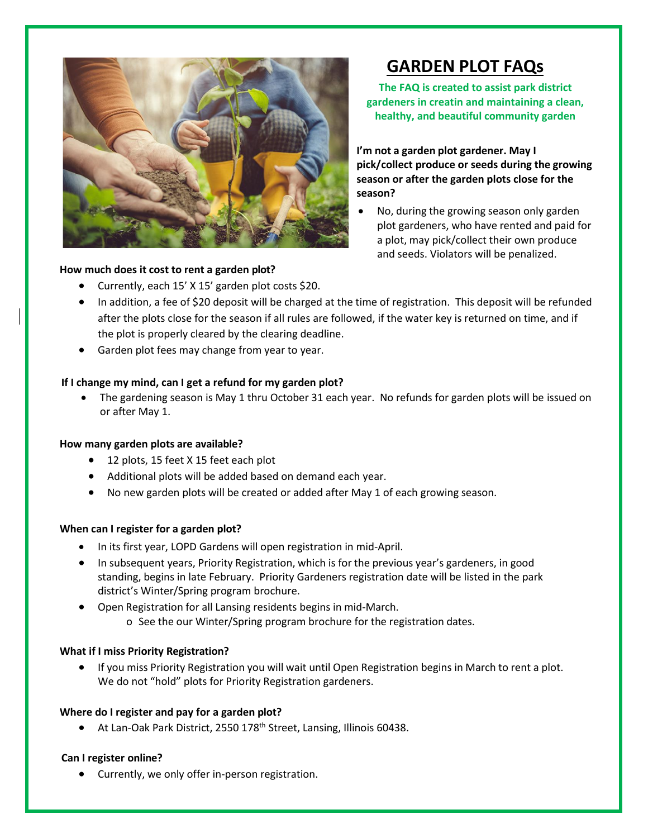

# **How much does it cost to rent a garden plot?**

# • Currently, each 15' X 15' garden plot costs \$20. • In addition, a fee of \$20 deposit will be charged at the time of registration. This deposit will be refunded after the plots close for the season if all rules are followed, if the water key is returned on time, and if

- the plot is properly cleared by the clearing deadline.
- Garden plot fees may change from year to year.

# **If I change my mind, can I get a refund for my garden plot?**

• The gardening season is May 1 thru October 31 each year. No refunds for garden plots will be issued on or after May 1.

# **How many garden plots are available?**

- 12 plots, 15 feet X 15 feet each plot
- Additional plots will be added based on demand each year.
- No new garden plots will be created or added after May 1 of each growing season.

# **When can I register for a garden plot?**

- In its first year, LOPD Gardens will open registration in mid-April.
- In subsequent years, Priority Registration, which is for the previous year's gardeners, in good standing, begins in late February. Priority Gardeners registration date will be listed in the park district's Winter/Spring program brochure.
- Open Registration for all Lansing residents begins in mid-March.
	- o See the [our Winter/Spring program brochure](https://www.napervilleparks.org/programguides) for the registration dates.

# **What if I miss Priority Registration?**

• If you miss Priority Registration you will wait until Open Registration begins in March to rent a plot. We do not "hold" plots for Priority Registration gardeners.

# **Where do I register and pay for a garden plot?**

• At Lan-Oak Park District, 2550 178<sup>th</sup> Street, Lansing, Illinois 60438.

# **Can I register online?**

• Currently, we only offer in-person registration.

# **GARDEN PLOT FAQs**

**The FAQ is created to assist park district gardeners in creatin and maintaining a clean, healthy, and beautiful community garden**

**I'm not a garden plot gardener. May I pick/collect produce or seeds during the growing season or after the garden plots close for the season?**

• No, during the growing season only garden plot gardeners, who have rented and paid for a plot, may pick/collect their own produce and seeds. Violators will be penalized.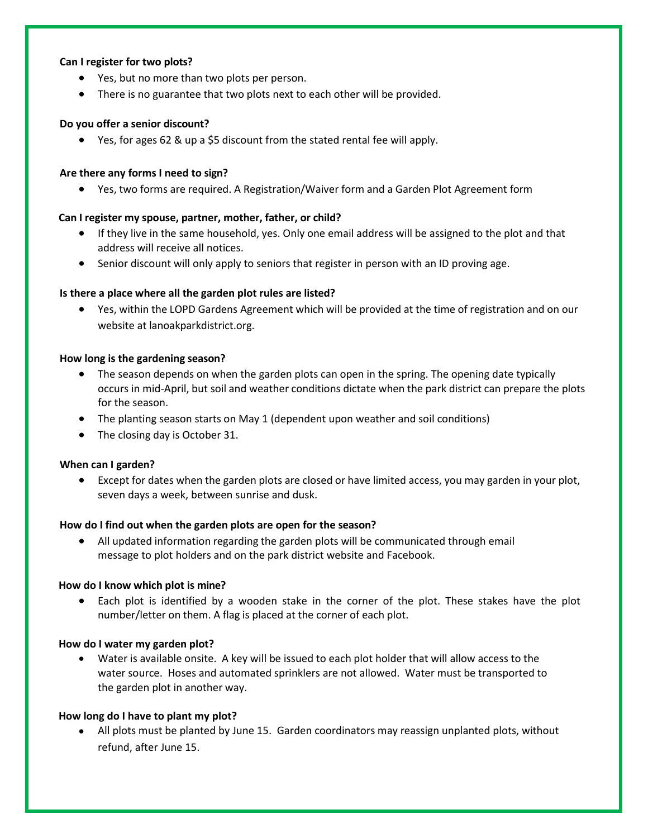### **Can I register for two plots?**

- Yes, but no more than two plots per person.
- There is no guarantee that two plots next to each other will be provided.

# **Do you offer a senior discount?**

• Yes, for ages 62 & up a \$5 discount from the stated rental fee will apply.

# **Are there any forms I need to sign?**

• Yes, two forms are required. A [Registration/Waiver](https://www.napervilleparks.org/files/Gardenplotregistrationformwaiver2019.pdf) form and a Garden [Plot Agreement](https://www.napervilleparks.org/files/2019GardenPlotAgreement.pdf) form

# **Can I register my spouse, partner, mother, father, or child?**

- If they live in the same household, yes. Only one email address will be assigned to the plot and that address will receive all notices.
- Senior discount will only apply to seniors that register in person with an ID proving age.

# **Is there a place where all the garden plot rules are listed?**

• Yes, within the [LOPD Gardens](https://www.napervilleparks.org/files/2019_GardenPlotGuidelines.pdf) Agreement which will be provided at the time of registration and on our website at lanoakparkdistrict.org.

# **How long is the gardening season?**

- The season depends on when the garden plots can open in the spring. The opening date typically occurs in mid-April, but soil and weather conditions dictate when the park district can prepare the plots for the season.
- The planting season starts on May 1 (dependent upon weather and soil conditions)
- The closing day is October 31.

# **When can I garden?**

• Except for dates when the garden plots are closed or have limited access, you may garden in your plot, seven days a week, between sunrise and dusk.

# **How do I find out when the garden plots are open for the season?**

• All updated information regarding the garden plots will be communicated through email message to plot holders and on the park district website and Facebook.

#### **How do I know which plot is mine?**

• Each plot is identified by a wooden stake in the corner of the plot. These stakes have the plot number/letter on them. A flag is placed at the corner of each plot.

# **How do I water my garden plot?**

• Water is available onsite. A key will be issued to each plot holder that will allow access to the water source. Hoses and automated sprinklers are not allowed. Water must be transported to the garden plot in another way.

# **How long do I have to plant my plot?**

• All plots must be planted by June 15. Garden coordinators may reassign unplanted plots, without refund, after June 15.